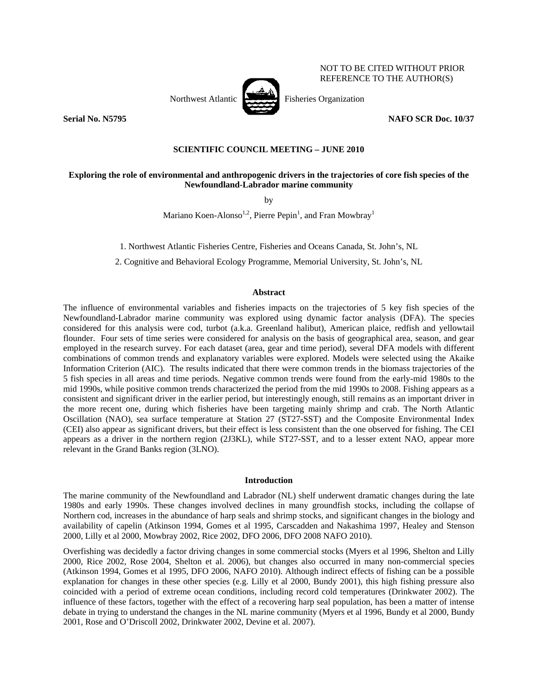

NOT TO BE CITED WITHOUT PRIOR REFERENCE TO THE AUTHOR(S)

**Serial No. N5795 NAFO SCR Doc. 10/37** 

## **SCIENTIFIC COUNCIL MEETING – JUNE 2010**

## **Exploring the role of environmental and anthropogenic drivers in the trajectories of core fish species of the Newfoundland-Labrador marine community**

by

Mariano Koen-Alonso<sup>1,2</sup>, Pierre Pepin<sup>1</sup>, and Fran Mowbray<sup>1</sup>

1. Northwest Atlantic Fisheries Centre, Fisheries and Oceans Canada, St. John's, NL

2. Cognitive and Behavioral Ecology Programme, Memorial University, St. John's, NL

#### **Abstract**

The influence of environmental variables and fisheries impacts on the trajectories of 5 key fish species of the Newfoundland-Labrador marine community was explored using dynamic factor analysis (DFA). The species considered for this analysis were cod, turbot (a.k.a. Greenland halibut), American plaice, redfish and yellowtail flounder. Four sets of time series were considered for analysis on the basis of geographical area, season, and gear employed in the research survey. For each dataset (area, gear and time period), several DFA models with different combinations of common trends and explanatory variables were explored. Models were selected using the Akaike Information Criterion (AIC). The results indicated that there were common trends in the biomass trajectories of the 5 fish species in all areas and time periods. Negative common trends were found from the early-mid 1980s to the mid 1990s, while positive common trends characterized the period from the mid 1990s to 2008. Fishing appears as a consistent and significant driver in the earlier period, but interestingly enough, still remains as an important driver in the more recent one, during which fisheries have been targeting mainly shrimp and crab. The North Atlantic Oscillation (NAO), sea surface temperature at Station 27 (ST27-SST) and the Composite Environmental Index (CEI) also appear as significant drivers, but their effect is less consistent than the one observed for fishing. The CEI appears as a driver in the northern region (2J3KL), while ST27-SST, and to a lesser extent NAO, appear more relevant in the Grand Banks region (3LNO).

#### **Introduction**

The marine community of the Newfoundland and Labrador (NL) shelf underwent dramatic changes during the late 1980s and early 1990s. These changes involved declines in many groundfish stocks, including the collapse of Northern cod, increases in the abundance of harp seals and shrimp stocks, and significant changes in the biology and availability of capelin (Atkinson 1994, Gomes et al 1995, Carscadden and Nakashima 1997, Healey and Stenson 2000, Lilly et al 2000, Mowbray 2002, Rice 2002, DFO 2006, DFO 2008 NAFO 2010).

Overfishing was decidedly a factor driving changes in some commercial stocks (Myers et al 1996, Shelton and Lilly 2000, Rice 2002, Rose 2004, Shelton et al. 2006), but changes also occurred in many non-commercial species (Atkinson 1994, Gomes et al 1995, DFO 2006, NAFO 2010). Although indirect effects of fishing can be a possible explanation for changes in these other species (e.g. Lilly et al 2000, Bundy 2001), this high fishing pressure also coincided with a period of extreme ocean conditions, including record cold temperatures (Drinkwater 2002). The influence of these factors, together with the effect of a recovering harp seal population, has been a matter of intense debate in trying to understand the changes in the NL marine community (Myers et al 1996, Bundy et al 2000, Bundy 2001, Rose and O'Driscoll 2002, Drinkwater 2002, Devine et al. 2007).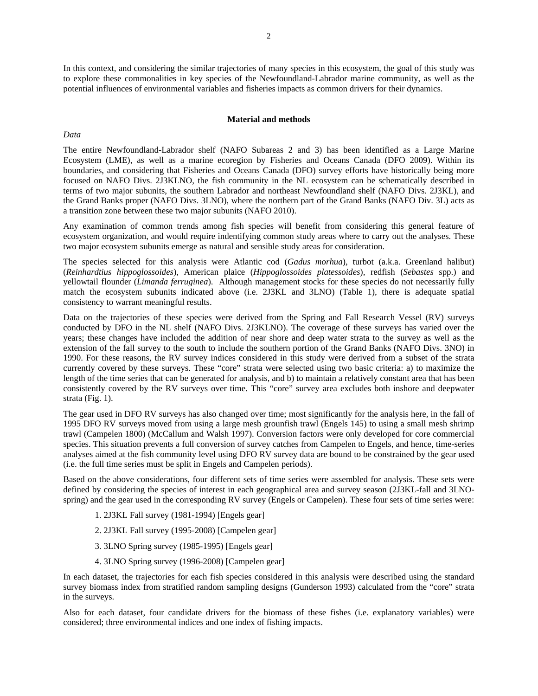In this context, and considering the similar trajectories of many species in this ecosystem, the goal of this study was to explore these commonalities in key species of the Newfoundland-Labrador marine community, as well as the potential influences of environmental variables and fisheries impacts as common drivers for their dynamics.

#### **Material and methods**

#### *Data*

The entire Newfoundland-Labrador shelf (NAFO Subareas 2 and 3) has been identified as a Large Marine Ecosystem (LME), as well as a marine ecoregion by Fisheries and Oceans Canada (DFO 2009). Within its boundaries, and considering that Fisheries and Oceans Canada (DFO) survey efforts have historically being more focused on NAFO Divs. 2J3KLNO, the fish community in the NL ecosystem can be schematically described in terms of two major subunits, the southern Labrador and northeast Newfoundland shelf (NAFO Divs. 2J3KL), and the Grand Banks proper (NAFO Divs. 3LNO), where the northern part of the Grand Banks (NAFO Div. 3L) acts as a transition zone between these two major subunits (NAFO 2010).

Any examination of common trends among fish species will benefit from considering this general feature of ecosystem organization, and would require indentifying common study areas where to carry out the analyses. These two major ecosystem subunits emerge as natural and sensible study areas for consideration.

The species selected for this analysis were Atlantic cod (*Gadus morhua*), turbot (a.k.a. Greenland halibut) (*Reinhardtius hippoglossoides*), American plaice (*Hippoglossoides platessoides*), redfish (*Sebastes* spp.) and yellowtail flounder (*Limanda ferruginea*). Although management stocks for these species do not necessarily fully match the ecosystem subunits indicated above (i.e. 2J3KL and 3LNO) (Table 1), there is adequate spatial consistency to warrant meaningful results.

Data on the trajectories of these species were derived from the Spring and Fall Research Vessel (RV) surveys conducted by DFO in the NL shelf (NAFO Divs. 2J3KLNO). The coverage of these surveys has varied over the years; these changes have included the addition of near shore and deep water strata to the survey as well as the extension of the fall survey to the south to include the southern portion of the Grand Banks (NAFO Divs. 3NO) in 1990. For these reasons, the RV survey indices considered in this study were derived from a subset of the strata currently covered by these surveys. These "core" strata were selected using two basic criteria: a) to maximize the length of the time series that can be generated for analysis, and b) to maintain a relatively constant area that has been consistently covered by the RV surveys over time. This "core" survey area excludes both inshore and deepwater strata (Fig. 1).

The gear used in DFO RV surveys has also changed over time; most significantly for the analysis here, in the fall of 1995 DFO RV surveys moved from using a large mesh grounfish trawl (Engels 145) to using a small mesh shrimp trawl (Campelen 1800) (McCallum and Walsh 1997). Conversion factors were only developed for core commercial species. This situation prevents a full conversion of survey catches from Campelen to Engels, and hence, time-series analyses aimed at the fish community level using DFO RV survey data are bound to be constrained by the gear used (i.e. the full time series must be split in Engels and Campelen periods).

Based on the above considerations, four different sets of time series were assembled for analysis. These sets were defined by considering the species of interest in each geographical area and survey season (2J3KL-fall and 3LNOspring) and the gear used in the corresponding RV survey (Engels or Campelen). These four sets of time series were:

- 1. 2J3KL Fall survey (1981-1994) [Engels gear]
- 2. 2J3KL Fall survey (1995-2008) [Campelen gear]
- 3. 3LNO Spring survey (1985-1995) [Engels gear]
- 4. 3LNO Spring survey (1996-2008) [Campelen gear]

In each dataset, the trajectories for each fish species considered in this analysis were described using the standard survey biomass index from stratified random sampling designs (Gunderson 1993) calculated from the "core" strata in the surveys.

Also for each dataset, four candidate drivers for the biomass of these fishes (i.e. explanatory variables) were considered; three environmental indices and one index of fishing impacts.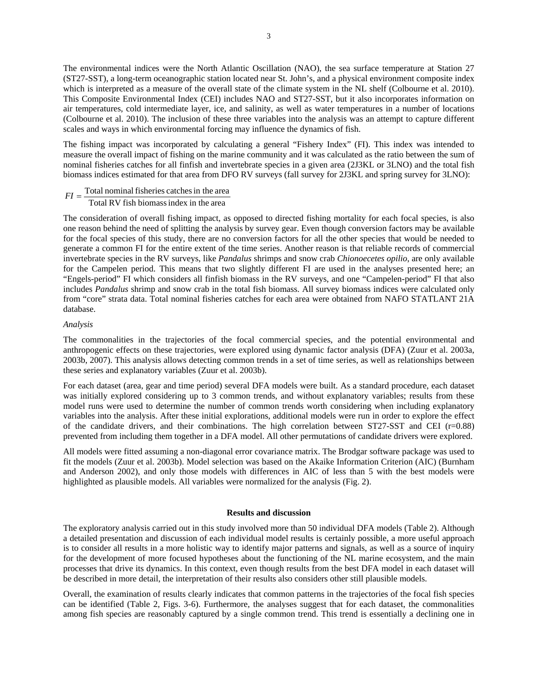The environmental indices were the North Atlantic Oscillation (NAO), the sea surface temperature at Station 27 (ST27-SST), a long-term oceanographic station located near St. John's, and a physical environment composite index which is interpreted as a measure of the overall state of the climate system in the NL shelf (Colbourne et al. 2010). This Composite Environmental Index (CEI) includes NAO and ST27-SST, but it also incorporates information on air temperatures, cold intermediate layer, ice, and salinity, as well as water temperatures in a number of locations (Colbourne et al. 2010). The inclusion of these three variables into the analysis was an attempt to capture different scales and ways in which environmental forcing may influence the dynamics of fish.

The fishing impact was incorporated by calculating a general "Fishery Index" (FI). This index was intended to measure the overall impact of fishing on the marine community and it was calculated as the ratio between the sum of nominal fisheries catches for all finfish and invertebrate species in a given area (2J3KL or 3LNO) and the total fish biomass indices estimated for that area from DFO RV surveys (fall survey for 2J3KL and spring survey for 3LNO):

$$
FI = \frac{\text{Total nominal fisheries catches in the area}}{\text{Total RV fish biomass index in the area}}
$$

The consideration of overall fishing impact, as opposed to directed fishing mortality for each focal species, is also one reason behind the need of splitting the analysis by survey gear. Even though conversion factors may be available for the focal species of this study, there are no conversion factors for all the other species that would be needed to generate a common FI for the entire extent of the time series. Another reason is that reliable records of commercial invertebrate species in the RV surveys, like *Pandalus* shrimps and snow crab *Chionoecetes opilio*, are only available for the Campelen period. This means that two slightly different FI are used in the analyses presented here; an "Engels-period" FI which considers all finfish biomass in the RV surveys, and one "Campelen-period" FI that also includes *Pandalus* shrimp and snow crab in the total fish biomass. All survey biomass indices were calculated only from "core" strata data. Total nominal fisheries catches for each area were obtained from NAFO STATLANT 21A database.

#### *Analysis*

The commonalities in the trajectories of the focal commercial species, and the potential environmental and anthropogenic effects on these trajectories, were explored using dynamic factor analysis (DFA) (Zuur et al. 2003a, 2003b, 2007). This analysis allows detecting common trends in a set of time series, as well as relationships between these series and explanatory variables (Zuur et al. 2003b).

For each dataset (area, gear and time period) several DFA models were built. As a standard procedure, each dataset was initially explored considering up to 3 common trends, and without explanatory variables; results from these model runs were used to determine the number of common trends worth considering when including explanatory variables into the analysis. After these initial explorations, additional models were run in order to explore the effect of the candidate drivers, and their combinations. The high correlation between ST27-SST and CEI ( $r=0.88$ ) prevented from including them together in a DFA model. All other permutations of candidate drivers were explored.

All models were fitted assuming a non-diagonal error covariance matrix. The Brodgar software package was used to fit the models (Zuur et al. 2003b). Model selection was based on the Akaike Information Criterion (AIC) (Burnham and Anderson 2002), and only those models with differences in AIC of less than 5 with the best models were highlighted as plausible models. All variables were normalized for the analysis (Fig. 2).

### **Results and discussion**

The exploratory analysis carried out in this study involved more than 50 individual DFA models (Table 2). Although a detailed presentation and discussion of each individual model results is certainly possible, a more useful approach is to consider all results in a more holistic way to identify major patterns and signals, as well as a source of inquiry for the development of more focused hypotheses about the functioning of the NL marine ecosystem, and the main processes that drive its dynamics. In this context, even though results from the best DFA model in each dataset will be described in more detail, the interpretation of their results also considers other still plausible models.

Overall, the examination of results clearly indicates that common patterns in the trajectories of the focal fish species can be identified (Table 2, Figs. 3-6). Furthermore, the analyses suggest that for each dataset, the commonalities among fish species are reasonably captured by a single common trend. This trend is essentially a declining one in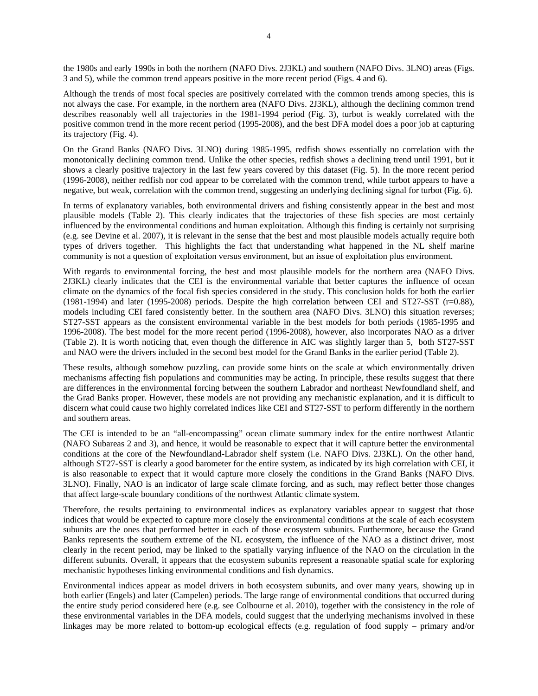the 1980s and early 1990s in both the northern (NAFO Divs. 2J3KL) and southern (NAFO Divs. 3LNO) areas (Figs. 3 and 5), while the common trend appears positive in the more recent period (Figs. 4 and 6).

Although the trends of most focal species are positively correlated with the common trends among species, this is not always the case. For example, in the northern area (NAFO Divs. 2J3KL), although the declining common trend describes reasonably well all trajectories in the 1981-1994 period (Fig. 3), turbot is weakly correlated with the positive common trend in the more recent period (1995-2008), and the best DFA model does a poor job at capturing its trajectory (Fig. 4).

On the Grand Banks (NAFO Divs. 3LNO) during 1985-1995, redfish shows essentially no correlation with the monotonically declining common trend. Unlike the other species, redfish shows a declining trend until 1991, but it shows a clearly positive trajectory in the last few years covered by this dataset (Fig. 5). In the more recent period (1996-2008), neither redfish nor cod appear to be correlated with the common trend, while turbot appears to have a negative, but weak, correlation with the common trend, suggesting an underlying declining signal for turbot (Fig. 6).

In terms of explanatory variables, both environmental drivers and fishing consistently appear in the best and most plausible models (Table 2). This clearly indicates that the trajectories of these fish species are most certainly influenced by the environmental conditions and human exploitation. Although this finding is certainly not surprising (e.g. see Devine et al. 2007), it is relevant in the sense that the best and most plausible models actually require both types of drivers together. This highlights the fact that understanding what happened in the NL shelf marine community is not a question of exploitation versus environment, but an issue of exploitation plus environment.

With regards to environmental forcing, the best and most plausible models for the northern area (NAFO Divs. 2J3KL) clearly indicates that the CEI is the environmental variable that better captures the influence of ocean climate on the dynamics of the focal fish species considered in the study. This conclusion holds for both the earlier (1981-1994) and later (1995-2008) periods. Despite the high correlation between CEI and ST27-SST (r=0.88), models including CEI fared consistently better. In the southern area (NAFO Divs. 3LNO) this situation reverses; ST27-SST appears as the consistent environmental variable in the best models for both periods (1985-1995 and 1996-2008). The best model for the more recent period (1996-2008), however, also incorporates NAO as a driver (Table 2). It is worth noticing that, even though the difference in AIC was slightly larger than 5, both ST27-SST and NAO were the drivers included in the second best model for the Grand Banks in the earlier period (Table 2).

These results, although somehow puzzling, can provide some hints on the scale at which environmentally driven mechanisms affecting fish populations and communities may be acting. In principle, these results suggest that there are differences in the environmental forcing between the southern Labrador and northeast Newfoundland shelf, and the Grad Banks proper. However, these models are not providing any mechanistic explanation, and it is difficult to discern what could cause two highly correlated indices like CEI and ST27-SST to perform differently in the northern and southern areas.

The CEI is intended to be an "all-encompassing" ocean climate summary index for the entire northwest Atlantic (NAFO Subareas 2 and 3), and hence, it would be reasonable to expect that it will capture better the environmental conditions at the core of the Newfoundland-Labrador shelf system (i.e. NAFO Divs. 2J3KL). On the other hand, although ST27-SST is clearly a good barometer for the entire system, as indicated by its high correlation with CEI, it is also reasonable to expect that it would capture more closely the conditions in the Grand Banks (NAFO Divs. 3LNO). Finally, NAO is an indicator of large scale climate forcing, and as such, may reflect better those changes that affect large-scale boundary conditions of the northwest Atlantic climate system.

Therefore, the results pertaining to environmental indices as explanatory variables appear to suggest that those indices that would be expected to capture more closely the environmental conditions at the scale of each ecosystem subunits are the ones that performed better in each of those ecosystem subunits. Furthermore, because the Grand Banks represents the southern extreme of the NL ecosystem, the influence of the NAO as a distinct driver, most clearly in the recent period, may be linked to the spatially varying influence of the NAO on the circulation in the different subunits. Overall, it appears that the ecosystem subunits represent a reasonable spatial scale for exploring mechanistic hypotheses linking environmental conditions and fish dynamics.

Environmental indices appear as model drivers in both ecosystem subunits, and over many years, showing up in both earlier (Engels) and later (Campelen) periods. The large range of environmental conditions that occurred during the entire study period considered here (e.g. see Colbourne et al. 2010), together with the consistency in the role of these environmental variables in the DFA models, could suggest that the underlying mechanisms involved in these linkages may be more related to bottom-up ecological effects (e.g. regulation of food supply – primary and/or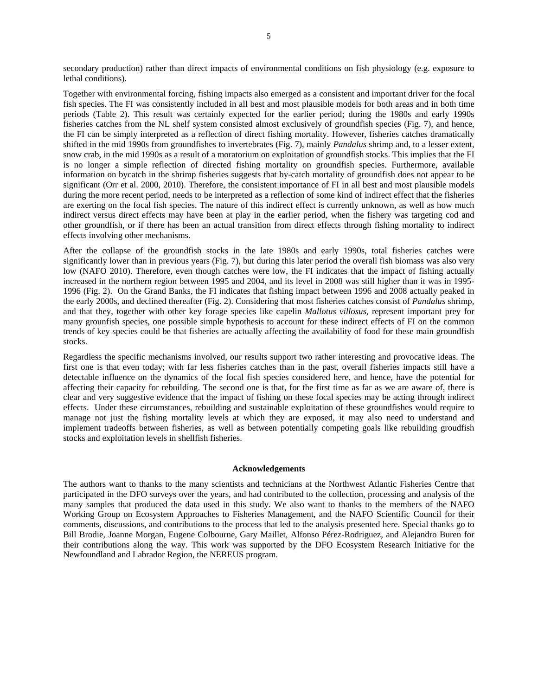secondary production) rather than direct impacts of environmental conditions on fish physiology (e.g. exposure to lethal conditions).

Together with environmental forcing, fishing impacts also emerged as a consistent and important driver for the focal fish species. The FI was consistently included in all best and most plausible models for both areas and in both time periods (Table 2). This result was certainly expected for the earlier period; during the 1980s and early 1990s fisheries catches from the NL shelf system consisted almost exclusively of groundfish species (Fig. 7), and hence, the FI can be simply interpreted as a reflection of direct fishing mortality. However, fisheries catches dramatically shifted in the mid 1990s from groundfishes to invertebrates (Fig. 7), mainly *Pandalus* shrimp and, to a lesser extent, snow crab, in the mid 1990s as a result of a moratorium on exploitation of groundfish stocks. This implies that the FI is no longer a simple reflection of directed fishing mortality on groundfish species. Furthermore, available information on bycatch in the shrimp fisheries suggests that by-catch mortality of groundfish does not appear to be significant (Orr et al. 2000, 2010). Therefore, the consistent importance of FI in all best and most plausible models during the more recent period, needs to be interpreted as a reflection of some kind of indirect effect that the fisheries are exerting on the focal fish species. The nature of this indirect effect is currently unknown, as well as how much indirect versus direct effects may have been at play in the earlier period, when the fishery was targeting cod and other groundfish, or if there has been an actual transition from direct effects through fishing mortality to indirect effects involving other mechanisms.

After the collapse of the groundfish stocks in the late 1980s and early 1990s, total fisheries catches were significantly lower than in previous years (Fig. 7), but during this later period the overall fish biomass was also very low (NAFO 2010). Therefore, even though catches were low, the FI indicates that the impact of fishing actually increased in the northern region between 1995 and 2004, and its level in 2008 was still higher than it was in 1995- 1996 (Fig. 2). On the Grand Banks, the FI indicates that fishing impact between 1996 and 2008 actually peaked in the early 2000s, and declined thereafter (Fig. 2). Considering that most fisheries catches consist of *Pandalus* shrimp, and that they, together with other key forage species like capelin *Mallotus villosus*, represent important prey for many grounfish species, one possible simple hypothesis to account for these indirect effects of FI on the common trends of key species could be that fisheries are actually affecting the availability of food for these main groundfish stocks.

Regardless the specific mechanisms involved, our results support two rather interesting and provocative ideas. The first one is that even today; with far less fisheries catches than in the past, overall fisheries impacts still have a detectable influence on the dynamics of the focal fish species considered here, and hence, have the potential for affecting their capacity for rebuilding. The second one is that, for the first time as far as we are aware of, there is clear and very suggestive evidence that the impact of fishing on these focal species may be acting through indirect effects. Under these circumstances, rebuilding and sustainable exploitation of these groundfishes would require to manage not just the fishing mortality levels at which they are exposed, it may also need to understand and implement tradeoffs between fisheries, as well as between potentially competing goals like rebuilding groudfish stocks and exploitation levels in shellfish fisheries.

#### **Acknowledgements**

The authors want to thanks to the many scientists and technicians at the Northwest Atlantic Fisheries Centre that participated in the DFO surveys over the years, and had contributed to the collection, processing and analysis of the many samples that produced the data used in this study. We also want to thanks to the members of the NAFO Working Group on Ecosystem Approaches to Fisheries Management, and the NAFO Scientific Council for their comments, discussions, and contributions to the process that led to the analysis presented here. Special thanks go to Bill Brodie, Joanne Morgan, Eugene Colbourne, Gary Maillet, Alfonso Pérez-Rodriguez, and Alejandro Buren for their contributions along the way. This work was supported by the DFO Ecosystem Research Initiative for the Newfoundland and Labrador Region, the NEREUS program.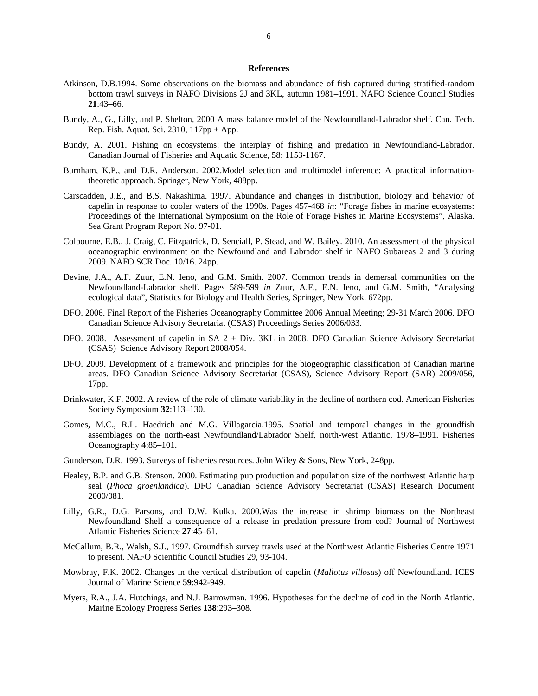#### **References**

- Atkinson, D.B.1994. Some observations on the biomass and abundance of fish captured during stratified-random bottom trawl surveys in NAFO Divisions 2J and 3KL, autumn 1981–1991. NAFO Science Council Studies **21**:43–66.
- Bundy, A., G., Lilly, and P. Shelton, 2000 A mass balance model of the Newfoundland-Labrador shelf. Can. Tech. Rep. Fish. Aquat. Sci. 2310, 117pp + App.
- Bundy, A. 2001. Fishing on ecosystems: the interplay of fishing and predation in Newfoundland-Labrador. Canadian Journal of Fisheries and Aquatic Science, 58: 1153-1167.
- Burnham, K.P., and D.R. Anderson. 2002.Model selection and multimodel inference: A practical informationtheoretic approach. Springer, New York, 488pp.
- Carscadden, J.E., and B.S. Nakashima. 1997. Abundance and changes in distribution, biology and behavior of capelin in response to cooler waters of the 1990s. Pages 457-468 *in*: "Forage fishes in marine ecosystems: Proceedings of the International Symposium on the Role of Forage Fishes in Marine Ecosystems", Alaska. Sea Grant Program Report No. 97-01.
- Colbourne, E.B., J. Craig, C. Fitzpatrick, D. Senciall, P. Stead, and W. Bailey. 2010. An assessment of the physical oceanographic environment on the Newfoundland and Labrador shelf in NAFO Subareas 2 and 3 during 2009. NAFO SCR Doc. 10/16. 24pp.
- Devine, J.A., A.F. Zuur, E.N. Ieno, and G.M. Smith. 2007. Common trends in demersal communities on the Newfoundland-Labrador shelf. Pages 589-599 *in* Zuur, A.F., E.N. Ieno, and G.M. Smith, "Analysing ecological data", Statistics for Biology and Health Series, Springer, New York. 672pp.
- DFO. 2006. Final Report of the Fisheries Oceanography Committee 2006 Annual Meeting; 29-31 March 2006. DFO Canadian Science Advisory Secretariat (CSAS) Proceedings Series 2006/033.
- DFO. 2008. Assessment of capelin in SA 2 + Div. 3KL in 2008. DFO Canadian Science Advisory Secretariat (CSAS) Science Advisory Report 2008/054.
- DFO. 2009. Development of a framework and principles for the biogeographic classification of Canadian marine areas. DFO Canadian Science Advisory Secretariat (CSAS), Science Advisory Report (SAR) 2009/056, 17pp.
- Drinkwater, K.F. 2002. A review of the role of climate variability in the decline of northern cod. American Fisheries Society Symposium **32**:113–130.
- Gomes, M.C., R.L. Haedrich and M.G. Villagarcia.1995. Spatial and temporal changes in the groundfish assemblages on the north-east Newfoundland/Labrador Shelf, north-west Atlantic, 1978–1991. Fisheries Oceanography **4**:85–101.
- Gunderson, D.R. 1993. Surveys of fisheries resources. John Wiley & Sons, New York, 248pp.
- Healey, B.P. and G.B. Stenson. 2000. Estimating pup production and population size of the northwest Atlantic harp seal (*Phoca groenlandica*). DFO Canadian Science Advisory Secretariat (CSAS) Research Document 2000/081.
- Lilly, G.R., D.G. Parsons, and D.W. Kulka. 2000.Was the increase in shrimp biomass on the Northeast Newfoundland Shelf a consequence of a release in predation pressure from cod? Journal of Northwest Atlantic Fisheries Science **27**:45–61.
- McCallum, B.R., Walsh, S.J., 1997. Groundfish survey trawls used at the Northwest Atlantic Fisheries Centre 1971 to present. NAFO Scientific Council Studies 29, 93-104.
- Mowbray, F.K. 2002. Changes in the vertical distribution of capelin (*Mallotus villosus*) off Newfoundland. ICES Journal of Marine Science **59**:942-949.
- Myers, R.A., J.A. Hutchings, and N.J. Barrowman. 1996. Hypotheses for the decline of cod in the North Atlantic. Marine Ecology Progress Series **138**:293–308.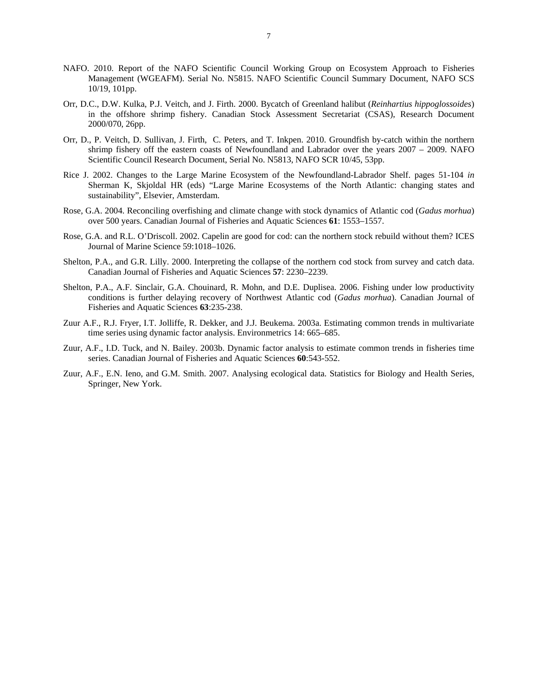- NAFO. 2010. Report of the NAFO Scientific Council Working Group on Ecosystem Approach to Fisheries Management (WGEAFM). Serial No. N5815. NAFO Scientific Council Summary Document, NAFO SCS 10/19, 101pp.
- Orr, D.C., D.W. Kulka, P.J. Veitch, and J. Firth. 2000. Bycatch of Greenland halibut (*Reinhartius hippoglossoides*) in the offshore shrimp fishery. Canadian Stock Assessment Secretariat (CSAS), Research Document 2000/070, 26pp.
- Orr, D., P. Veitch, D. Sullivan, J. Firth, C. Peters, and T. Inkpen. 2010. Groundfish by-catch within the northern shrimp fishery off the eastern coasts of Newfoundland and Labrador over the years 2007 – 2009. NAFO Scientific Council Research Document, Serial No. N5813, NAFO SCR 10/45, 53pp.
- Rice J. 2002. Changes to the Large Marine Ecosystem of the Newfoundland-Labrador Shelf. pages 51-104 *in* Sherman K, Skjoldal HR (eds) "Large Marine Ecosystems of the North Atlantic: changing states and sustainability", Elsevier, Amsterdam.
- Rose, G.A. 2004. Reconciling overfishing and climate change with stock dynamics of Atlantic cod (*Gadus morhua*) over 500 years. Canadian Journal of Fisheries and Aquatic Sciences **61**: 1553–1557.
- Rose, G.A. and R.L. O'Driscoll. 2002. Capelin are good for cod: can the northern stock rebuild without them? ICES Journal of Marine Science 59:1018–1026.
- Shelton, P.A., and G.R. Lilly. 2000. Interpreting the collapse of the northern cod stock from survey and catch data. Canadian Journal of Fisheries and Aquatic Sciences **57**: 2230–2239.
- Shelton, P.A., A.F. Sinclair, G.A. Chouinard, R. Mohn, and D.E. Duplisea. 2006. Fishing under low productivity conditions is further delaying recovery of Northwest Atlantic cod (*Gadus morhua*). Canadian Journal of Fisheries and Aquatic Sciences **63**:235-238.
- Zuur A.F., R.J. Fryer, I.T. Jolliffe, R. Dekker, and J.J. Beukema. 2003a. Estimating common trends in multivariate time series using dynamic factor analysis. Environmetrics 14: 665–685.
- Zuur, A.F., I.D. Tuck, and N. Bailey. 2003b. Dynamic factor analysis to estimate common trends in fisheries time series. Canadian Journal of Fisheries and Aquatic Sciences **60**:543-552.
- Zuur, A.F., E.N. Ieno, and G.M. Smith. 2007. Analysing ecological data. Statistics for Biology and Health Series, Springer, New York.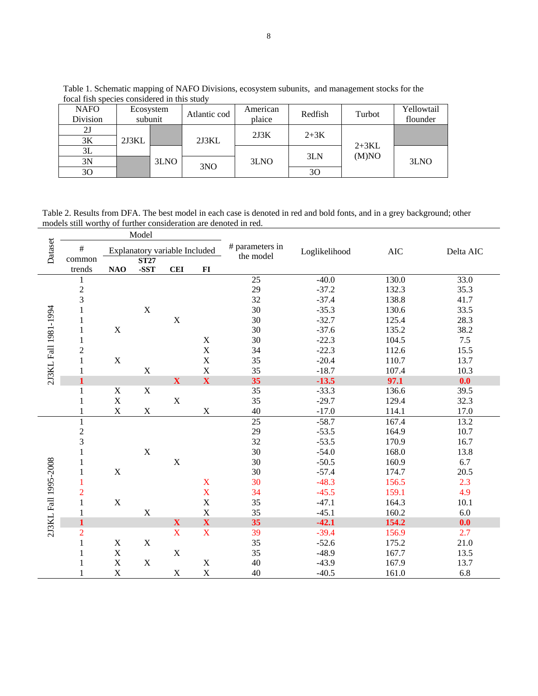| <b>NAFO</b><br>Division | Ecosystem<br>subunit |      | Atlantic cod | American<br>plaice | Redfish | Turbot  | Yellowtail<br>flounder |
|-------------------------|----------------------|------|--------------|--------------------|---------|---------|------------------------|
|                         |                      |      |              | 2J3K               | $2+3K$  |         |                        |
| 3Κ                      | 2J3KL                |      | 2J3KL        |                    |         | $2+3KL$ |                        |
| 3L                      |                      |      |              |                    | 3LN     | (M)NO   |                        |
| 3N                      |                      | 3LNO | 3NO          | 3LNO               |         |         | 3LNO                   |
| 30                      |                      |      |              |                    | 30      |         |                        |

Table 1. Schematic mapping of NAFO Divisions, ecosystem subunits, and management stocks for the focal fish species considered in this study

Table 2. Results from DFA. The best model in each case is denoted in red and bold fonts, and in a grey background; other models still worthy of further consideration are denoted in red.

|                      | Model                          |                               |                     |              |             |                              |               |            |           |
|----------------------|--------------------------------|-------------------------------|---------------------|--------------|-------------|------------------------------|---------------|------------|-----------|
| Dataset              | $\#$                           | Explanatory variable Included |                     |              |             | # parameters in<br>the model | Loglikelihood | <b>AIC</b> | Delta AIC |
|                      | common<br>trends               | NAO                           | <b>ST27</b><br>-SST | <b>CEI</b>   |             |                              |               |            |           |
|                      |                                |                               |                     |              | $FI$        | 25                           | $-40.0$       | 130.0      | 33.0      |
| 2J3KL Fall 1981-1994 | 1                              |                               |                     |              |             | 29                           | $-37.2$       | 132.3      | 35.3      |
|                      | $\frac{2}{3}$                  |                               |                     |              |             | 32                           | $-37.4$       | 138.8      | 41.7      |
|                      | $\,1$                          |                               | $\mathbf X$         |              |             | 30                           | $-35.3$       | 130.6      | 33.5      |
|                      | 1                              |                               |                     | X            |             | 30                           | $-32.7$       | 125.4      | 28.3      |
|                      | $\mathbf{1}$                   | X                             |                     |              |             | 30                           | $-37.6$       | 135.2      | 38.2      |
|                      |                                |                               |                     |              | $\mathbf X$ | 30                           | $-22.3$       | 104.5      | 7.5       |
|                      | $\mathbf{1}$<br>$\overline{c}$ |                               |                     |              | $\mathbf X$ | 34                           | $-22.3$       | 112.6      | 15.5      |
|                      | $\mathbf{1}$                   | $\mathbf X$                   |                     |              | $\mathbf X$ | 35                           | $-20.4$       | 110.7      | 13.7      |
|                      |                                |                               | $\mathbf X$         |              | $\mathbf X$ | 35                           | $-18.7$       | 107.4      | 10.3      |
|                      | 1<br>$\mathbf{1}$              |                               |                     | $\mathbf X$  | $\mathbf X$ | 35                           | $-13.5$       | 97.1       | 0.0       |
|                      | 1                              | $\mathbf X$                   | $\mathbf X$         |              |             | 35                           | $-33.3$       | 136.6      | 39.5      |
|                      |                                | $\mathbf X$                   |                     | $\mathbf X$  |             | 35                           | $-29.7$       | 129.4      | 32.3      |
|                      | 1<br>$\mathbf{1}$              | $\mathbf X$                   | $\mathbf X$         |              | $\mathbf X$ | 40                           | $-17.0$       | 114.1      | 17.0      |
|                      | $\mathbf{1}$                   |                               |                     |              |             | 25                           | $-58.7$       | 167.4      | 13.2      |
|                      |                                |                               |                     |              |             | 29                           | $-53.5$       | 164.9      | 10.7      |
|                      | $\frac{2}{3}$                  |                               |                     |              |             | 32                           | $-53.5$       | 170.9      | 16.7      |
|                      | $\,1$                          |                               | $\mathbf X$         |              |             | 30                           | $-54.0$       | 168.0      | 13.8      |
|                      |                                |                               |                     | $\mathbf X$  |             | 30                           | $-50.5$       | 160.9      | 6.7       |
|                      | 1                              | $\mathbf X$                   |                     |              |             | 30                           | $-57.4$       | 174.7      | 20.5      |
|                      | $\mathbf{1}$<br>1              |                               |                     |              | $\mathbf X$ | 30                           | $-48.3$       | 156.5      | 2.3       |
| 2J3KL Fall 1995-2008 | $\overline{2}$                 |                               |                     |              | $\mathbf X$ | 34                           | $-45.5$       | 159.1      | 4.9       |
|                      | $\mathbf{1}$                   | $\mathbf X$                   |                     |              | $\mathbf X$ | 35                           | $-47.1$       | 164.3      | 10.1      |
|                      |                                |                               | $\mathbf X$         |              | $\mathbf X$ | 35                           | $-45.1$       | 160.2      | 6.0       |
|                      | $\mathbf{1}$                   |                               |                     | $\mathbf{X}$ | $\mathbf X$ | 35                           | $-42.1$       | 154.2      | 0.0       |
|                      | $\overline{c}$                 |                               |                     | X            | $\mathbf X$ | 39                           | $-39.4$       | 156.9      | 2.7       |
|                      | $\mathbf{1}$                   | $\mathbf X$                   | $\mathbf X$         |              |             | 35                           | $-52.6$       | 175.2      | 21.0      |
|                      | $\mathbf{1}$                   | $\mathbf X$                   |                     | $\mathbf X$  |             | 35                           | $-48.9$       | 167.7      | 13.5      |
|                      |                                | $\mathbf X$                   | $\mathbf X$         |              | $\mathbf X$ | 40                           | $-43.9$       | 167.9      | 13.7      |
|                      | 1                              | $\mathbf X$                   |                     | X            | $\mathbf X$ | 40                           | $-40.5$       | 161.0      | 6.8       |
|                      |                                |                               |                     |              |             |                              |               |            |           |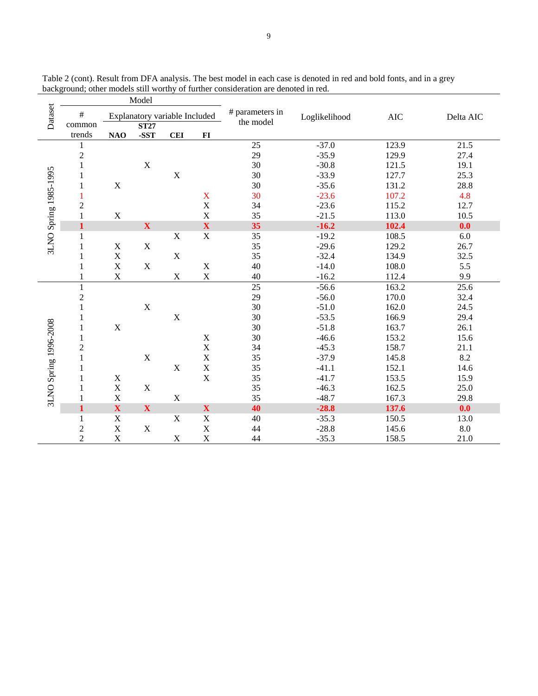|                       | Model            |                               |                     |             |                           |                              |               |            |           |
|-----------------------|------------------|-------------------------------|---------------------|-------------|---------------------------|------------------------------|---------------|------------|-----------|
| Dataset               | $\#$             | Explanatory variable Included |                     |             |                           | # parameters in<br>the model | Loglikelihood | <b>AIC</b> | Delta AIC |
|                       | common<br>trends | NAO                           | <b>ST27</b><br>-SST | <b>CEI</b>  | F1                        |                              |               |            |           |
|                       | 1                |                               |                     |             |                           | 25                           | $-37.0$       | 123.9      | 21.5      |
|                       | $\overline{c}$   |                               |                     |             |                           | 29                           | $-35.9$       | 129.9      | 27.4      |
|                       | $\mathbf{1}$     |                               | $\mathbf X$         |             |                           | 30                           | $-30.8$       | 121.5      | 19.1      |
|                       | 1                |                               |                     | $\mathbf X$ |                           | 30                           | $-33.9$       | 127.7      | 25.3      |
|                       | 1                | X                             |                     |             |                           | 30                           | $-35.6$       | 131.2      | 28.8      |
|                       |                  |                               |                     |             | $\mathbf X$               | 30                           | $-23.6$       | 107.2      | 4.8       |
| 3LNO Spring 1985-1995 | $\overline{c}$   |                               |                     |             | $\mathbf X$               | 34                           | $-23.6$       | 115.2      | 12.7      |
|                       |                  | $\mathbf X$                   |                     |             | $\mathbf X$               | 35                           | $-21.5$       | 113.0      | 10.5      |
|                       | $\mathbf{1}$     |                               | $\mathbf X$         |             | $\overline{\mathbf{X}}$   | 35                           | $-16.2$       | 102.4      | 0.0       |
|                       | 1                |                               |                     | $\mathbf X$ | $\mathbf X$               | 35                           | $-19.2$       | 108.5      | $6.0\,$   |
|                       | 1                | $\mathbf X$                   | $\mathbf X$         |             |                           | 35                           | $-29.6$       | 129.2      | 26.7      |
|                       | $\mathbf{1}$     | $\mathbf X$                   |                     | $\mathbf X$ |                           | 35                           | $-32.4$       | 134.9      | 32.5      |
|                       | 1                | $\mathbf X$                   | $\mathbf X$         |             | $\mathbf X$               | 40                           | $-14.0$       | 108.0      | 5.5       |
|                       |                  | $\mathbf X$                   |                     | $\mathbf X$ | $\mathbf X$               | 40                           | $-16.2$       | 112.4      | 9.9       |
|                       |                  |                               |                     |             |                           | 25                           | $-56.6$       | 163.2      | 25.6      |
|                       | $\overline{c}$   |                               |                     |             |                           | 29                           | $-56.0$       | 170.0      | 32.4      |
|                       | $\mathbf{1}$     |                               | $\mathbf X$         |             |                           | 30                           | $-51.0$       | 162.0      | 24.5      |
|                       | 1                |                               |                     | $\mathbf X$ |                           | 30                           | $-53.5$       | 166.9      | 29.4      |
|                       | $\mathbf 1$      | $\mathbf X$                   |                     |             |                           | 30                           | $-51.8$       | 163.7      | 26.1      |
| 3LNO Spring 1996-2008 | 1                |                               |                     |             | $\mathbf X$               | 30                           | $-46.6$       | 153.2      | 15.6      |
|                       | $\overline{2}$   |                               |                     |             | $\mathbf X$               | 34                           | $-45.3$       | 158.7      | 21.1      |
|                       | 1                |                               | $\mathbf X$         |             | $\mathbf X$               | 35                           | $-37.9$       | 145.8      | 8.2       |
|                       | 1                |                               |                     | $\mathbf X$ | $\mathbf X$               | 35                           | $-41.1$       | 152.1      | 14.6      |
|                       |                  | $\mathbf X$                   |                     |             | $\mathbf X$               | 35                           | $-41.7$       | 153.5      | 15.9      |
|                       |                  | $\mathbf X$                   | $\mathbf X$         |             |                           | 35                           | $-46.3$       | 162.5      | 25.0      |
|                       |                  | $\mathbf X$                   |                     | $\mathbf X$ |                           | 35                           | $-48.7$       | 167.3      | 29.8      |
|                       | $\mathbf{1}$     | $\mathbf X$                   | $\mathbf X$         |             | $\boldsymbol{\mathrm{X}}$ | 40                           | $-28.8$       | 137.6      | 0.0       |
|                       | $\mathbf{1}$     | $\mathbf X$                   |                     | $\mathbf X$ | $\mathbf X$               | 40                           | $-35.3$       | 150.5      | 13.0      |
|                       | $\overline{c}$   | $\mathbf X$                   | $\mathbf X$         |             | $\mathbf X$               | 44                           | $-28.8$       | 145.6      | 8.0       |
|                       | $\overline{2}$   | $\mathbf X$                   |                     | $\mathbf X$ | $\mathbf X$               | 44                           | $-35.3$       | 158.5      | 21.0      |

Table 2 (cont). Result from DFA analysis. The best model in each case is denoted in red and bold fonts, and in a grey background; other models still worthy of further consideration are denoted in red.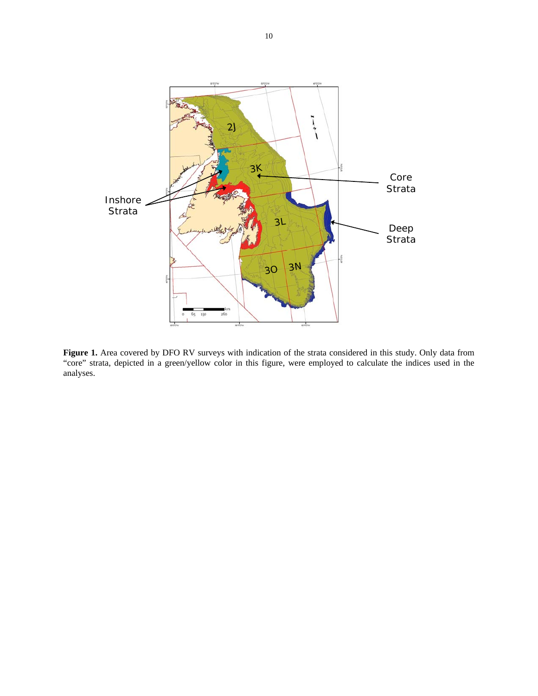

**Figure 1.** Area covered by DFO RV surveys with indication of the strata considered in this study. Only data from "core" strata, depicted in a green/yellow color in this figure, were employed to calculate the indices used in the analyses.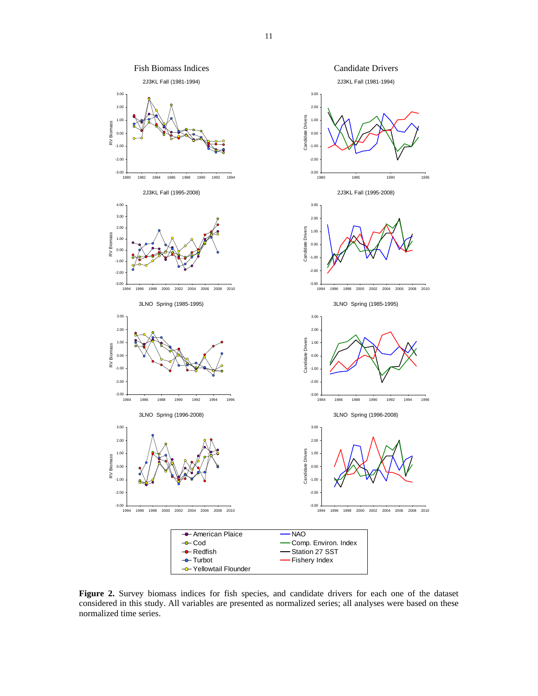

**Figure 2.** Survey biomass indices for fish species, and candidate drivers for each one of the dataset considered in this study. All variables are presented as normalized series; all analyses were based on these normalized time series.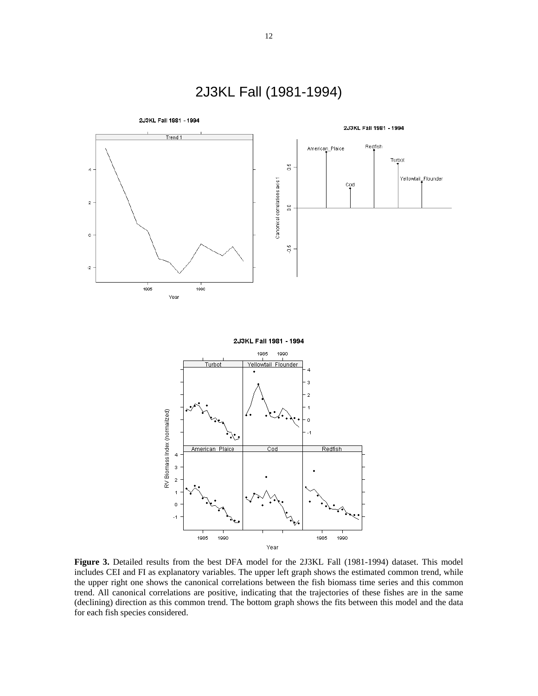

**Figure 3.** Detailed results from the best DFA model for the 2J3KL Fall (1981-1994) dataset. This model includes CEI and FI as explanatory variables. The upper left graph shows the estimated common trend, while the upper right one shows the canonical correlations between the fish biomass time series and this common trend. All canonical correlations are positive, indicating that the trajectories of these fishes are in the same (declining) direction as this common trend. The bottom graph shows the fits between this model and the data for each fish species considered.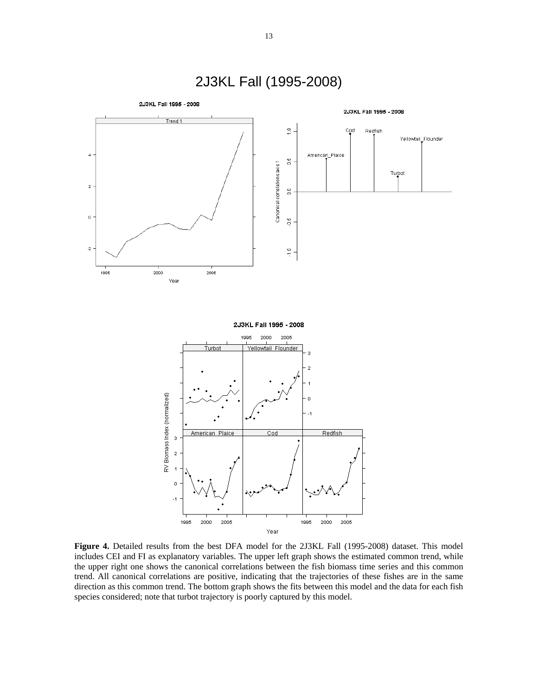

Figure 4. Detailed results from the best DFA model for the 2J3KL Fall (1995-2008) dataset. This model includes CEI and FI as explanatory variables. The upper left graph shows the estimated common trend, while the upper right one shows the canonical correlations between the fish biomass time series and this common trend. All canonical correlations are positive, indicating that the trajectories of these fishes are in the same direction as this common trend. The bottom graph shows the fits between this model and the data for each fish species considered; note that turbot trajectory is poorly captured by this model.

# 2J3KL Fall (1995-2008)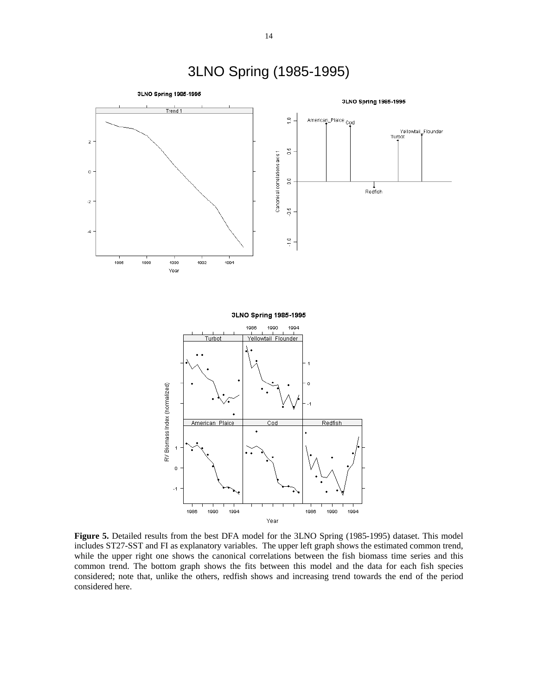

**Figure 5.** Detailed results from the best DFA model for the 3LNO Spring (1985-1995) dataset. This model includes ST27-SST and FI as explanatory variables. The upper left graph shows the estimated common trend, while the upper right one shows the canonical correlations between the fish biomass time series and this common trend. The bottom graph shows the fits between this model and the data for each fish species considered; note that, unlike the others, redfish shows and increasing trend towards the end of the period considered here.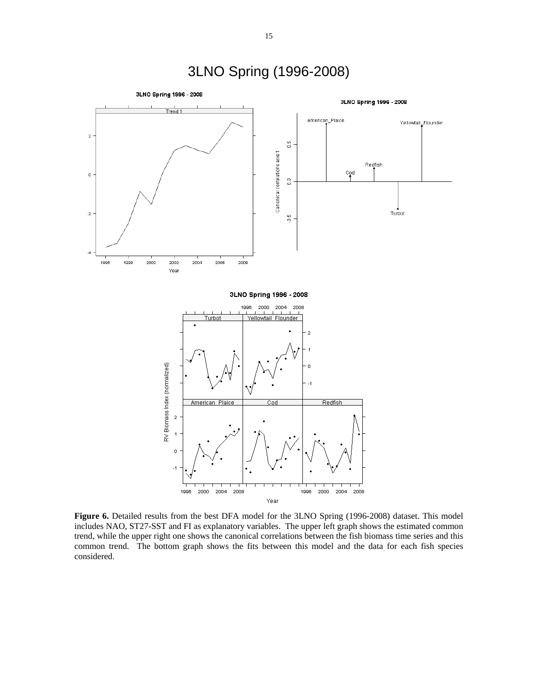

Figure 6. Detailed results from the best DFA model for the 3LNO Spring (1996-2008) dataset. This model includes NAO, ST27-SST and FI as explanatory variables. The upper left graph shows the estimated common trend, while the upper right one shows the canonical correlations between the fish biomass time series and this common trend. The bottom graph shows the fits between this model and the data for each fish species considered.